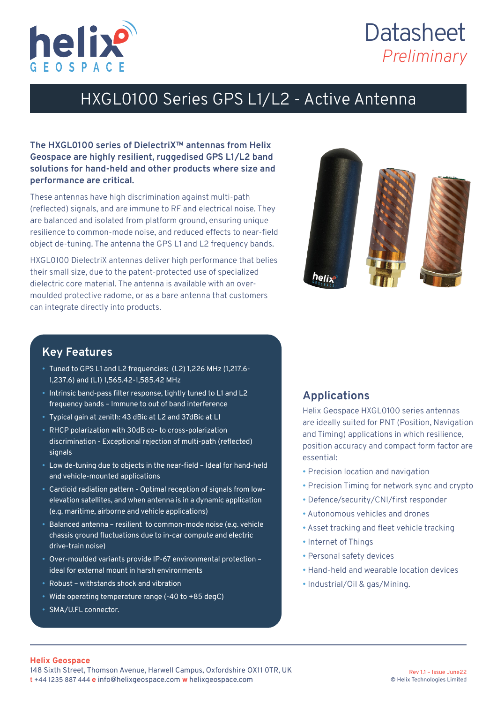

# **Datasheet** *Preliminary*

### HXGL0100 Series GPS L1/L2 - Active Antenna

#### **The HXGL0100 series of DielectriX™ antennas from Helix Geospace are highly resilient, ruggedised GPS L1/L2 band solutions for hand-held and other products where size and performance are critical.**

These antennas have high discrimination against multi-path (reflected) signals, and are immune to RF and electrical noise. They are balanced and isolated from platform ground, ensuring unique resilience to common-mode noise, and reduced effects to near-field object de-tuning. The antenna the GPS L1 and L2 frequency bands.

HXGL0100 DielectriX antennas deliver high performance that belies their small size, due to the patent-protected use of specialized dielectric core material. The antenna is available with an overmoulded protective radome, or as a bare antenna that customers can integrate directly into products.



### **Key Features**

- Tuned to GPS L1 and L2 frequencies: (L2) 1,226 MHz (1,217.6- 1,237.6) and (L1) 1,565.42-1,585.42 MHz
- Intrinsic band-pass filter response, tightly tuned to L1 and L2 frequency bands – Immune to out of band interference
- • Typical gain at zenith: 43 dBic at L2 and 37dBic at L1
- RHCP polarization with 30dB co- to cross-polarization discrimination - Exceptional rejection of multi-path (reflected) signals
- • Low de-tuning due to objects in the near-field Ideal for hand-held and vehicle-mounted applications
- • Cardioid radiation pattern Optimal reception of signals from lowelevation satellites, and when antenna is in a dynamic application (e.g. maritime, airborne and vehicle applications)
- Balanced antenna resilient to common-mode noise (e.g. vehicle chassis ground fluctuations due to in-car compute and electric drive-train noise)
- • Over-moulded variants provide IP-67 environmental protection ideal for external mount in harsh environments
- Robust withstands shock and vibration
- Wide operating temperature range (-40 to +85 degC)
- SMA/U.FL connector.

### **Applications**

Helix Geospace HXGL0100 series antennas are ideally suited for PNT (Position, Navigation and Timing) applications in which resilience, position accuracy and compact form factor are essential:

- Precision location and navigation
- Precision Timing for network sync and crypto
- Defence/security/CNI/first responder
- Autonomous vehicles and drones
- Asset tracking and fleet vehicle tracking
- Internet of Things
- Personal safety devices
- Hand-held and wearable location devices
- Industrial/Oil & gas/Mining.

#### **Helix Geospace**

148 Sixth Street, Thomson Avenue, Harwell Campus, Oxfordshire OX11 0TR, UK **t** +44 1235 887 444 **e** info@helixgeospace.com **w** helixgeospace.com